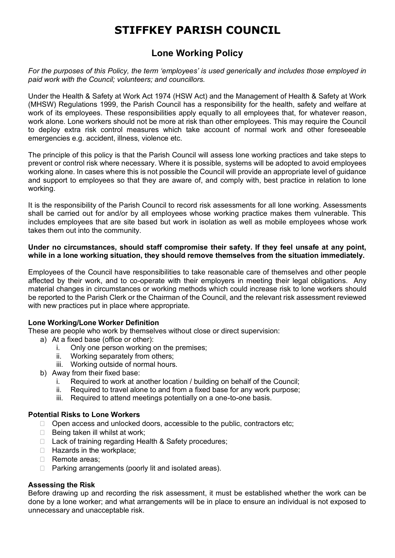# **STIFFKEY PARISH COUNCIL**

# **Lone Working Policy**

*For the purposes of this Policy, the term 'employees' is used generically and includes those employed in paid work with the Council; volunteers; and councillors.*

Under the Health & Safety at Work Act 1974 (HSW Act) and the Management of Health & Safety at Work (MHSW) Regulations 1999, the Parish Council has a responsibility for the health, safety and welfare at work of its employees. These responsibilities apply equally to all employees that, for whatever reason, work alone. Lone workers should not be more at risk than other employees. This may require the Council to deploy extra risk control measures which take account of normal work and other foreseeable emergencies e.g. accident, illness, violence etc.

The principle of this policy is that the Parish Council will assess lone working practices and take steps to prevent or control risk where necessary. Where it is possible, systems will be adopted to avoid employees working alone. In cases where this is not possible the Council will provide an appropriate level of guidance and support to employees so that they are aware of, and comply with, best practice in relation to lone working.

It is the responsibility of the Parish Council to record risk assessments for all lone working. Assessments shall be carried out for and/or by all employees whose working practice makes them vulnerable. This includes employees that are site based but work in isolation as well as mobile employees whose work takes them out into the community.

### **Under no circumstances, should staff compromise their safety. If they feel unsafe at any point, while in a lone working situation, they should remove themselves from the situation immediately.**

Employees of the Council have responsibilities to take reasonable care of themselves and other people affected by their work, and to co-operate with their employers in meeting their legal obligations. Any material changes in circumstances or working methods which could increase risk to lone workers should be reported to the Parish Clerk or the Chairman of the Council, and the relevant risk assessment reviewed with new practices put in place where appropriate.

# **Lone Working/Lone Worker Definition**

These are people who work by themselves without close or direct supervision:

- a) At a fixed base (office or other):
	- i. Only one person working on the premises;
	- ii. Working separately from others;
	- iii. Working outside of normal hours.
- b) Away from their fixed base:
	- i. Required to work at another location / building on behalf of the Council;
	- ii. Required to travel alone to and from a fixed base for any work purpose;
	- iii. Required to attend meetings potentially on a one-to-one basis.

#### **Potential Risks to Lone Workers**

- $\Box$  Open access and unlocked doors, accessible to the public, contractors etc;
- $\Box$  Being taken ill whilst at work:
- □ Lack of training regarding Health & Safety procedures;
- $\Box$  Hazards in the workplace;
- Remote areas:
- $\Box$  Parking arrangements (poorly lit and isolated areas).

# **Assessing the Risk**

Before drawing up and recording the risk assessment, it must be established whether the work can be done by a lone worker; and what arrangements will be in place to ensure an individual is not exposed to unnecessary and unacceptable risk.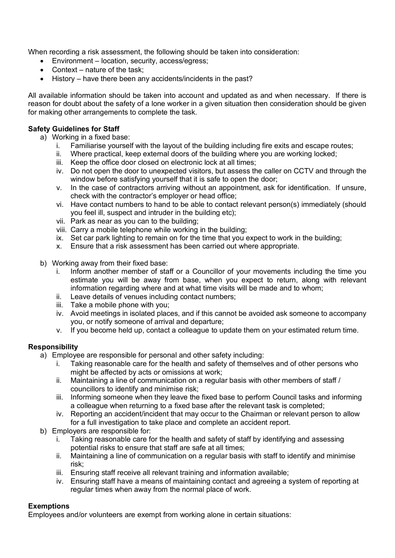When recording a risk assessment, the following should be taken into consideration:

- Environment location, security, access/egress;
- Context nature of the task:
- History have there been any accidents/incidents in the past?

All available information should be taken into account and updated as and when necessary. If there is reason for doubt about the safety of a lone worker in a given situation then consideration should be given for making other arrangements to complete the task.

# **Safety Guidelines for Staff**

- a) Working in a fixed base:
	- i. Familiarise yourself with the layout of the building including fire exits and escape routes;
	- ii. Where practical, keep external doors of the building where you are working locked;
	- iii. Keep the office door closed on electronic lock at all times;
	- iv. Do not open the door to unexpected visitors, but assess the caller on CCTV and through the window before satisfying yourself that it is safe to open the door;
	- v. In the case of contractors arriving without an appointment, ask for identification. If unsure, check with the contractor's employer or head office;
	- vi. Have contact numbers to hand to be able to contact relevant person(s) immediately (should you feel ill, suspect and intruder in the building etc);
	- vii. Park as near as you can to the building;
	- viii. Carry a mobile telephone while working in the building;
	- ix. Set car park lighting to remain on for the time that you expect to work in the building;
	- x. Ensure that a risk assessment has been carried out where appropriate.
- b) Working away from their fixed base:
	- i. Inform another member of staff or a Councillor of your movements including the time you estimate you will be away from base, when you expect to return, along with relevant information regarding where and at what time visits will be made and to whom;
	- ii. Leave details of venues including contact numbers;
	- iii. Take a mobile phone with you;
	- iv. Avoid meetings in isolated places, and if this cannot be avoided ask someone to accompany you, or notify someone of arrival and departure;
	- v. If you become held up, contact a colleague to update them on your estimated return time.

# **Responsibility**

- a) Employee are responsible for personal and other safety including:
	- i. Taking reasonable care for the health and safety of themselves and of other persons who might be affected by acts or omissions at work;
	- ii. Maintaining a line of communication on a regular basis with other members of staff / councillors to identify and minimise risk;
	- iii. Informing someone when they leave the fixed base to perform Council tasks and informing a colleague when returning to a fixed base after the relevant task is completed;
	- iv. Reporting an accident/incident that may occur to the Chairman or relevant person to allow for a full investigation to take place and complete an accident report.
- b) Employers are responsible for:
	- i. Taking reasonable care for the health and safety of staff by identifying and assessing potential risks to ensure that staff are safe at all times;
	- ii. Maintaining a line of communication on a regular basis with staff to identify and minimise risk;
	- iii. Ensuring staff receive all relevant training and information available;
	- iv. Ensuring staff have a means of maintaining contact and agreeing a system of reporting at regular times when away from the normal place of work.

# **Exemptions**

Employees and/or volunteers are exempt from working alone in certain situations: